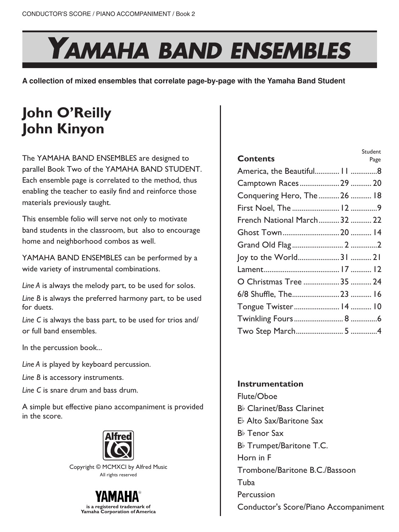## YAMAHA BAND ENSEMBLES

**A collection of mixed ensembles that correlate page-by-page with the Yamaha Band Student**

## **John O'Reilly John Kinyon**

The YAMAHA BAND ENSEMBLES are designed to parallel Book Two of the YAMAHA BAND STUDENT. Each ensemble page is correlated to the method, thus enabling the teacher to easily find and reinforce those materials previously taught.

This ensemble folio will serve not only to motivate band students in the classroom, but also to encourage home and neighborhood combos as well.

YAMAHA BAND ENSEMBLES can be performed by a wide variety of instrumental combinations.

*Line A* is always the melody part, to be used for solos.

*Line B* is always the preferred harmony part, to be used for duets.

*Line C* is always the bass part, to be used for trios and/ or full band ensembles.

In the percussion book...

*Line A* is played by keyboard percussion.

*Line B* is accessory instruments.

*Line C* is snare drum and bass drum.

A simple but effective piano accompaniment is provided in the score.



Copyright © MCMXCI by Alfred Music All rights reserved



| Student                      |
|------------------------------|
| Page                         |
| America, the Beautiful 11 8  |
| Camptown Races 29  20        |
| Conquering Hero, The  26  18 |
|                              |
| French National March 32  22 |
|                              |
|                              |
| Joy to the World31  21       |
|                              |
| O Christmas Tree  35  24     |
|                              |
| Tongue Twister 14  10        |
|                              |
|                              |
|                              |

## **Instrumentation**

Flute/Oboe B% Clarinet/Bass Clarinet E% Alto Sax/Baritone Sax B% Tenor Sax B% Trumpet/Baritone T.C. Horn in F Trombone/Baritone B.C./Bassoon Tuba Percussion Conductor's Score/Piano Accompaniment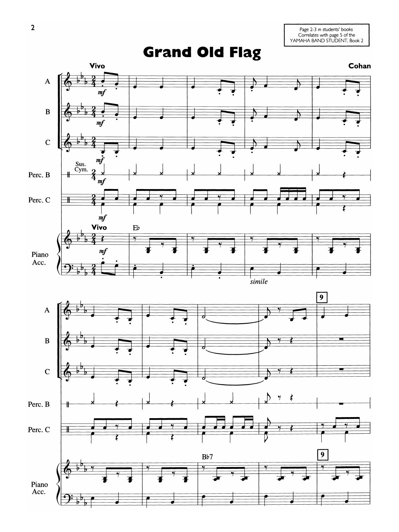